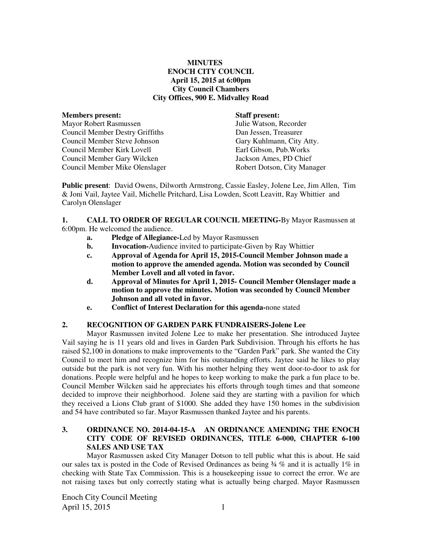## **MINUTES ENOCH CITY COUNCIL April 15, 2015 at 6:00pm City Council Chambers City Offices, 900 E. Midvalley Road**

| <b>Members present:</b>                | <b>Staff present:</b>       |
|----------------------------------------|-----------------------------|
| <b>Mayor Robert Rasmussen</b>          | Julie Watson, Recorder      |
| <b>Council Member Destry Griffiths</b> | Dan Jessen, Treasurer       |
| Council Member Steve Johnson           | Gary Kuhlmann, City Atty.   |
| Council Member Kirk Lovell             | Earl Gibson, Pub. Works     |
| Council Member Gary Wilcken            | Jackson Ames, PD Chief      |
| Council Member Mike Olenslager         | Robert Dotson, City Manager |

**Public present**: David Owens, Dilworth Armstrong, Cassie Easley, Jolene Lee, Jim Allen, Tim & Joni Vail, Jaytee Vail, Michelle Pritchard, Lisa Lowden, Scott Leavitt, Ray Whittier and Carolyn Olenslager

**1. CALL TO ORDER OF REGULAR COUNCIL MEETING-**By Mayor Rasmussen at 6:00pm. He welcomed the audience.

- **a. Pledge of Allegiance-**Led by Mayor Rasmussen
- **b.** Invocation-Audience invited to participate-Given by Ray Whittier
- **c. Approval of Agenda for April 15, 2015-Council Member Johnson made a motion to approve the amended agenda. Motion was seconded by Council Member Lovell and all voted in favor.**
- **d. Approval of Minutes for April 1, 2015- Council Member Olenslager made a motion to approve the minutes. Motion was seconded by Council Member Johnson and all voted in favor.**
- **e. Conflict of Interest Declaration for this agenda-**none stated

### **2. RECOGNITION OF GARDEN PARK FUNDRAISERS-Jolene Lee**

Mayor Rasmussen invited Jolene Lee to make her presentation. She introduced Jaytee Vail saying he is 11 years old and lives in Garden Park Subdivision. Through his efforts he has raised \$2,100 in donations to make improvements to the "Garden Park" park. She wanted the City Council to meet him and recognize him for his outstanding efforts. Jaytee said he likes to play outside but the park is not very fun. With his mother helping they went door-to-door to ask for donations. People were helpful and he hopes to keep working to make the park a fun place to be. Council Member Wilcken said he appreciates his efforts through tough times and that someone decided to improve their neighborhood. Jolene said they are starting with a pavilion for which they received a Lions Club grant of \$1000. She added they have 150 homes in the subdivision and 54 have contributed so far. Mayor Rasmussen thanked Jaytee and his parents.

# **3. ORDINANCE NO. 2014-04-15-A AN ORDINANCE AMENDING THE ENOCH CITY CODE OF REVISED ORDINANCES, TITLE 6-000, CHAPTER 6-100 SALES AND USE TAX**

Mayor Rasmussen asked City Manager Dotson to tell public what this is about. He said our sales tax is posted in the Code of Revised Ordinances as being  $\frac{3}{4}$  % and it is actually  $1\%$  in checking with State Tax Commission. This is a housekeeping issue to correct the error. We are not raising taxes but only correctly stating what is actually being charged. Mayor Rasmussen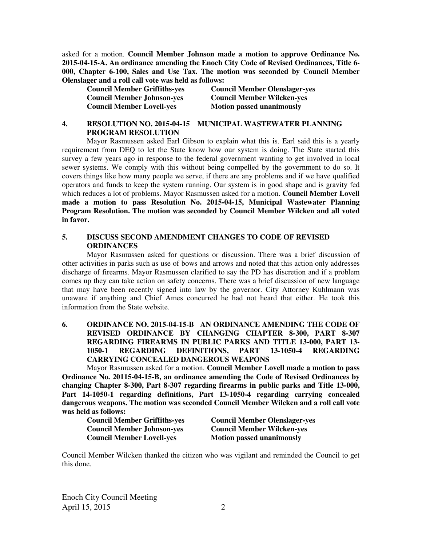asked for a motion. **Council Member Johnson made a motion to approve Ordinance No. 2015-04-15-A. An ordinance amending the Enoch City Code of Revised Ordinances, Title 6- 000, Chapter 6-100, Sales and Use Tax. The motion was seconded by Council Member Olenslager and a roll call vote was held as follows:** 

**Council Member Lovell-yes** Motion passed unanimously

**Council Member Griffiths-yes Council Member Olenslager-yes Council Member Johnson-yes Council Member Wilcken-yes** 

# **4. RESOLUTION NO. 2015-04-15 MUNICIPAL WASTEWATER PLANNING PROGRAM RESOLUTION**

Mayor Rasmussen asked Earl Gibson to explain what this is. Earl said this is a yearly requirement from DEQ to let the State know how our system is doing. The State started this survey a few years ago in response to the federal government wanting to get involved in local sewer systems. We comply with this without being compelled by the government to do so. It covers things like how many people we serve, if there are any problems and if we have qualified operators and funds to keep the system running. Our system is in good shape and is gravity fed which reduces a lot of problems. Mayor Rasmussen asked for a motion. **Council Member Lovell made a motion to pass Resolution No. 2015-04-15, Municipal Wastewater Planning Program Resolution. The motion was seconded by Council Member Wilcken and all voted in favor.**

# **5. DISCUSS SECOND AMENDMENT CHANGES TO CODE OF REVISED ORDINANCES**

Mayor Rasmussen asked for questions or discussion. There was a brief discussion of other activities in parks such as use of bows and arrows and noted that this action only addresses discharge of firearms. Mayor Rasmussen clarified to say the PD has discretion and if a problem comes up they can take action on safety concerns. There was a brief discussion of new language that may have been recently signed into law by the governor. City Attorney Kuhlmann was unaware if anything and Chief Ames concurred he had not heard that either. He took this information from the State website.

# **6. ORDINANCE NO. 2015-04-15-B AN ORDINANCE AMENDING THE CODE OF REVISED ORDINANCE BY CHANGING CHAPTER 8-300, PART 8-307 REGARDING FIREARMS IN PUBLIC PARKS AND TITLE 13-000, PART 13- 1050-1 REGARDING DEFINITIONS, PART 13-1050-4 REGARDING CARRYING CONCEALED DANGEROUS WEAPONS**

Mayor Rasmussen asked for a motion. **Council Member Lovell made a motion to pass Ordinance No. 20115-04-15-B, an ordinance amending the Code of Revised Ordinances by changing Chapter 8-300, Part 8-307 regarding firearms in public parks and Title 13-000, Part 14-1050-1 regarding definitions, Part 13-1050-4 regarding carrying concealed dangerous weapons. The motion was seconded Council Member Wilcken and a roll call vote was held as follows:** 

| <b>Council Member Griffiths-yes</b> | <b>Council Member Olenslager</b> |
|-------------------------------------|----------------------------------|
| <b>Council Member Johnson-yes</b>   | <b>Council Member Wilcken-ye</b> |
| <b>Council Member Lovell-yes</b>    | <b>Motion passed unanimously</b> |

**Council Member Olenslager-yes Council Member Wilcken-yes** 

Council Member Wilcken thanked the citizen who was vigilant and reminded the Council to get this done.

Enoch City Council Meeting April 15, 2015 2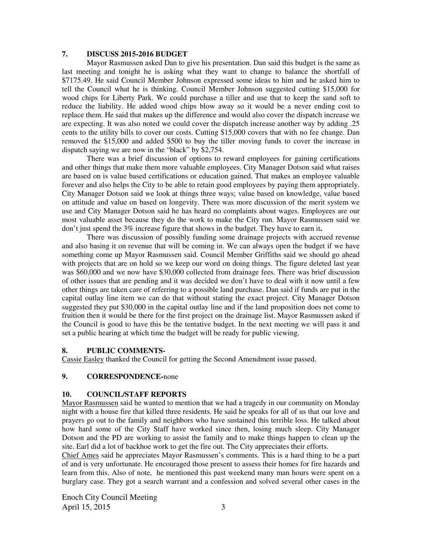## **7. DISCUSS 2015-2016 BUDGET**

Mayor Rasmussen asked Dan to give his presentation. Dan said this budget is the same as last meeting and tonight he is asking what they want to change to balance the shortfall of \$7175.49. He said Council Member Johnson expressed some ideas to him and he asked him to tell the Council what he is thinking. Council Member Johnson suggested cutting \$15,000 for wood chips for Liberty Park. We could purchase a tiller and use that to keep the sand soft to reduce the liability. He added wood chips blow away so it would be a never ending cost to replace them. He said that makes up the difference and would also cover the dispatch increase we are expecting. It was also noted we could cover the dispatch increase another way by adding .25 cents to the utility bills to cover our costs. Cutting \$15,000 covers that with no fee change. Dan removed the \$15,000 and added \$500 to buy the tiller moving funds to cover the increase in dispatch saying we are now in the "black" by \$2,754.

There was a brief discussion of options to reward employees for gaining certifications and other things that make them more valuable employees. City Manager Dotson said what raises are based on is value based certifications or education gained. That makes an employee valuable forever and also helps the City to be able to retain good employees by paying them appropriately. City Manager Dotson said we look at things three ways; value based on knowledge, value based on attitude and value on based on longevity. There was more discussion of the merit system we use and City Manager Dotson said he has heard no complaints about wages. Employees are our most valuable asset because they do the work to make the City run. Mayor Rasmussen said we don't just spend the 3% increase figure that shows in the budget. They have to earn it**.** 

There was discussion of possibly funding some drainage projects with accrued revenue and also basing it on revenue that will be coming in. We can always open the budget if we have something come up Mayor Rasmussen said. Council Member Griffiths said we should go ahead with projects that are on hold so we keep our word on doing things. The figure deleted last year was \$60,000 and we now have \$30,000 collected from drainage fees. There was brief discussion of other issues that are pending and it was decided we don't have to deal with it now until a few other things are taken care of referring to a possible land purchase. Dan said if funds are put in the capital outlay line item we can do that without stating the exact project. City Manager Dotson suggested they put \$30,000 in the capital outlay line and if the land proposition does not come to fruition then it would be there for the first project on the drainage list. Mayor Rasmussen asked if the Council is good to have this be the tentative budget. In the next meeting we will pass it and set a public hearing at which time the budget will be ready for public viewing.

### **8. PUBLIC COMMENTS-**

Cassie Easley thanked the Council for getting the Second Amendment issue passed.

### **9. CORRESPONDENCE-**none

### **10. COUNCIL/STAFF REPORTS**

Mayor Rasmussen said he wanted to mention that we had a tragedy in our community on Monday night with a house fire that killed three residents. He said he speaks for all of us that our love and prayers go out to the family and neighbors who have sustained this terrible loss. He talked about how hard some of the City Staff have worked since then, losing much sleep. City Manager Dotson and the PD are working to assist the family and to make things happen to clean up the site. Earl did a lot of backhoe work to get the fire out. The City appreciates their efforts.

Chief Ames said he appreciates Mayor Rasmussen's comments. This is a hard thing to be a part of and is very unfortunate. He encouraged those present to assess their homes for fire hazards and learn from this. Also of note, he mentioned this past weekend many man hours were spent on a burglary case. They got a search warrant and a confession and solved several other cases in the

Enoch City Council Meeting April 15, 2015 3